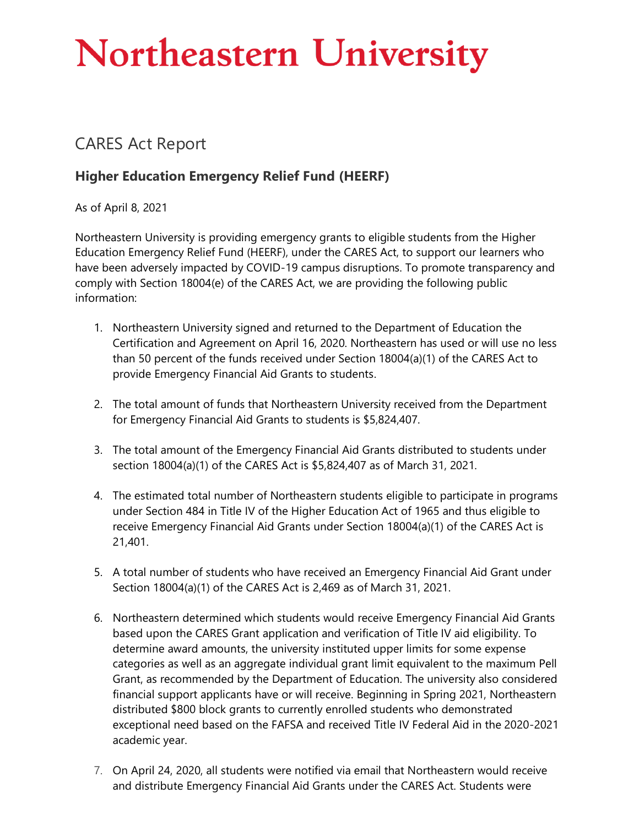## **Northeastern University**

## CARES Act Report

## **Higher Education Emergency Relief Fund (HEERF)**

As of April 8, 2021

Northeastern University is providing emergency grants to eligible students from the Higher Education Emergency Relief Fund (HEERF), under the CARES Act, to support our learners who have been adversely impacted by COVID-19 campus disruptions. To promote transparency and comply with Section 18004(e) of the CARES Act, we are providing the following public information:

- 1. Northeastern University signed and returned to the Department of Education the Certification and Agreement on April 16, 2020. Northeastern has used or will use no less than 50 percent of the funds received under Section 18004(a)(1) of the CARES Act to provide Emergency Financial Aid Grants to students.
- 2. The total amount of funds that Northeastern University received from the Department for Emergency Financial Aid Grants to students is \$5,824,407.
- 3. The total amount of the Emergency Financial Aid Grants distributed to students under section 18004(a)(1) of the CARES Act is \$5,824,407 as of March 31, 2021.
- 4. The estimated total number of Northeastern students eligible to participate in programs under Section 484 in Title IV of the Higher Education Act of 1965 and thus eligible to receive Emergency Financial Aid Grants under Section 18004(a)(1) of the CARES Act is 21,401.
- 5. A total number of students who have received an Emergency Financial Aid Grant under Section 18004(a)(1) of the CARES Act is 2,469 as of March 31, 2021.
- 6. Northeastern determined which students would receive Emergency Financial Aid Grants based upon the CARES Grant application and verification of Title IV aid eligibility. To determine award amounts, the university instituted upper limits for some expense categories as well as an aggregate individual grant limit equivalent to the maximum Pell Grant, as recommended by the Department of Education. The university also considered financial support applicants have or will receive. Beginning in Spring 2021, Northeastern distributed \$800 block grants to currently enrolled students who demonstrated exceptional need based on the FAFSA and received Title IV Federal Aid in the 2020-2021 academic year.
- 7. On April 24, 2020, all students were notified via email that Northeastern would receive and distribute Emergency Financial Aid Grants under the CARES Act. Students were